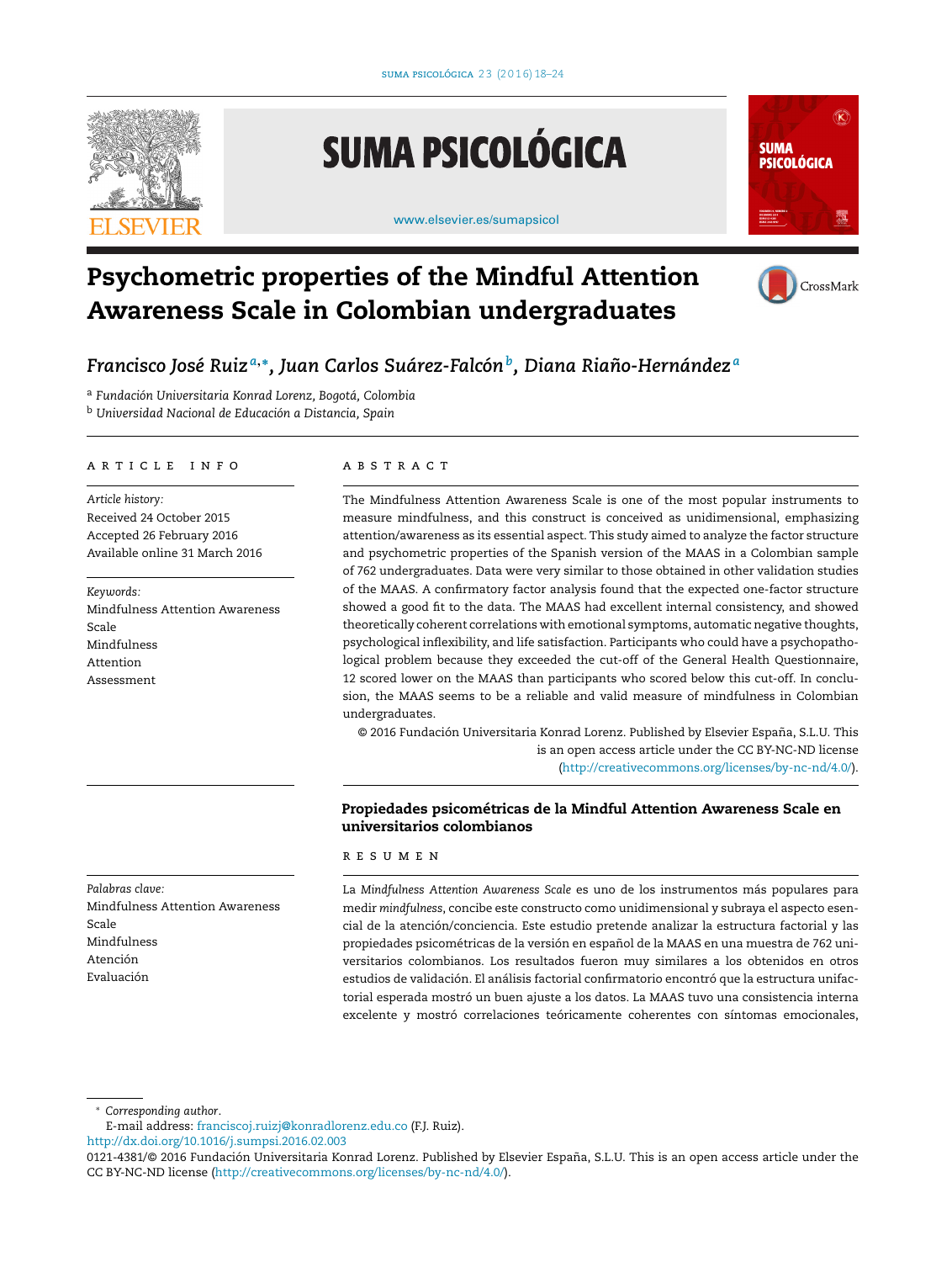

# **SUMA PSICOLÓGICA**

[www.elsevier.es/sumapsicol](http://www.elsevier.es/sumapsicol)



## **Psychometric properties of the Mindful Attention Awareness Scale in Colombian undergraduates**



### *Francisco José Ruiz <sup>a</sup>***,∗***, Juan Carlos Suárez-Falcónb, Diana Riano-Hernández ˜ <sup>a</sup>*

<sup>a</sup> *Fundación Universitaria Konrad Lorenz, Bogotá, Colombia*

<sup>b</sup> *Universidad Nacional de Educación a Distancia, Spain*

#### a r t i c l e i n f o

*Article history:* Received 24 October 2015 Accepted 26 February 2016 Available online 31 March 2016

*Keywords:* Mindfulness Attention Awareness Scale Mindfulness Attention Assessment

#### A B S T R A C T

The Mindfulness Attention Awareness Scale is one of the most popular instruments to measure mindfulness, and this construct is conceived as unidimensional, emphasizing attention/awareness as its essential aspect. This study aimed to analyze the factor structure and psychometric properties of the Spanish version of the MAAS in a Colombian sample of 762 undergraduates. Data were very similar to those obtained in other validation studies of the MAAS. A confirmatory factor analysis found that the expected one-factor structure showed a good fit to the data. The MAAS had excellent internal consistency, and showed theoretically coherent correlations with emotional symptoms, automatic negative thoughts, psychological inflexibility, and life satisfaction. Participants who could have a psychopathological problem because they exceeded the cut-off of the General Health Questionnaire, 12 scored lower on the MAAS than participants who scored below this cut-off. In conclusion, the MAAS seems to be a reliable and valid measure of mindfulness in Colombian undergraduates.

© 2016 Fundación Universitaria Konrad Lorenz. Published by Elsevier España, S.L.U. This is an open access article under the CC BY-NC-ND license [\(http://creativecommons.org/licenses/by-nc-nd/4.0/](http://creativecommons.org/licenses/by-nc-nd/4.0/)).

#### **Propiedades psicométricas de la Mindful Attention Awareness Scale en universitarios colombianos**

#### r e s u m e n

La *Mindfulness Attention Awareness Scale* es uno de los instrumentos más populares para medir *mindfulness*, concibe este constructo como unidimensional y subraya el aspecto esencial de la atención/conciencia. Este estudio pretende analizar la estructura factorial y las propiedades psicométricas de la versión en español de la MAAS en una muestra de 762 universitarios colombianos. Los resultados fueron muy similares a los obtenidos en otros estudios de validación. El análisis factorial confirmatorio encontró que la estructura unifactorial esperada mostró un buen ajuste a los datos. La MAAS tuvo una consistencia interna excelente y mostró correlaciones teóricamente coherentes con síntomas emocionales,

Scale Mindfulness Atención Evaluación

Mindfulness Attention Awareness

*Palabras clave:*

∗ *Corresponding author*.

E-mail address: [franciscoj.ruizj@konradlorenz.edu.co](mailto:franciscoj.ruizj@konradlorenz.edu.co) (F.J. Ruiz).

[http://dx.doi.org/10.1016/j.sumpsi.2016.02.003](dx.doi.org/10.1016/j.sumpsi.2016.02.003)

<sup>0121-4381/©</sup> 2016 Fundación Universitaria Konrad Lorenz. Published by Elsevier España, S.L.U. This is an open access article under the CC BY-NC-ND license ([http://creativecommons.org/licenses/by-nc-nd/4.0/\)](http://creativecommons.org/licenses/by-nc-nd/4.0/).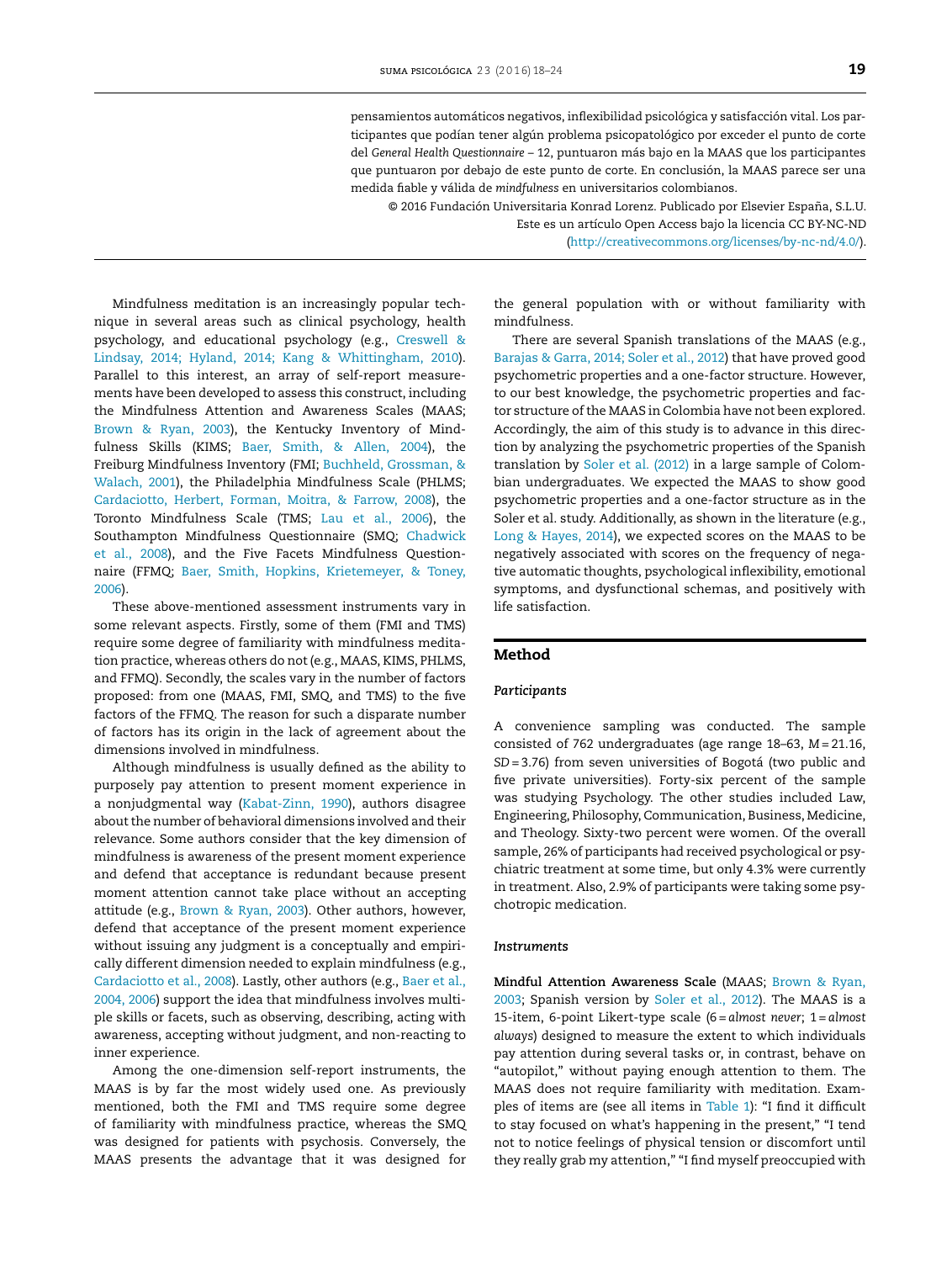pensamientos automáticos negativos, inflexibilidad psicológica y satisfacción vital. Los participantes que podían tener algún problema psicopatológico por exceder el punto de corte del *General Health Questionnaire* – 12, puntuaron más bajo en la MAAS que los participantes que puntuaron por debajo de este punto de corte. En conclusión, la MAAS parece ser una medida fiable y válida de *mindfulness* en universitarios colombianos.

© 2016 Fundación Universitaria Konrad Lorenz. Publicado por Elsevier España, S.L.U. Este es un artículo Open Access bajo la licencia CC BY-NC-ND

[\(http://creativecommons.org/licenses/by-nc-nd/4.0/](http://creativecommons.org/licenses/by-nc-nd/4.0/)).

Mindfulness meditation is an increasingly popular technique in several areas such as clinical psychology, health psychology, and educational psychology (e.g., [Creswell](#page-5-0) [&](#page-5-0) [Lindsay,](#page-5-0) [2014;](#page-5-0) [Hyland,](#page-5-0) [2014;](#page-5-0) [Kang](#page-5-0) [&](#page-5-0) [Whittingham,](#page-5-0) [2010\).](#page-5-0) Parallel to this interest, an array of self-report measurements have been developed to assess this construct, including the Mindfulness Attention and Awareness Scales (MAAS; [Brown](#page-5-0) [&](#page-5-0) [Ryan,](#page-5-0) [2003\),](#page-5-0) the Kentucky Inventory of Mindfulness Skills (KIMS; [Baer,](#page-5-0) [Smith,](#page-5-0) [&](#page-5-0) [Allen,](#page-5-0) [2004\),](#page-5-0) the Freiburg Mindfulness Inventory (FMI; [Buchheld,](#page-5-0) [Grossman,](#page-5-0) [&](#page-5-0) [Walach,](#page-5-0) [2001\),](#page-5-0) the Philadelphia Mindfulness Scale (PHLMS; [Cardaciotto,](#page-5-0) [Herbert,](#page-5-0) [Forman,](#page-5-0) [Moitra,](#page-5-0) [&](#page-5-0) [Farrow,](#page-5-0) [2008\),](#page-5-0) the Toronto Mindfulness Scale (TMS; [Lau](#page-5-0) et [al.,](#page-5-0) [2006\),](#page-5-0) the Southampton Mindfulness Questionnaire (SMQ; [Chadwick](#page-5-0) et [al.,](#page-5-0) [2008\),](#page-5-0) and the Five Facets Mindfulness Questionnaire (FFMQ; [Baer,](#page-5-0) [Smith,](#page-5-0) [Hopkins,](#page-5-0) [Krietemeyer,](#page-5-0) [&](#page-5-0) [Toney,](#page-5-0) [2006\).](#page-5-0)

These above-mentioned assessment instruments vary in some relevant aspects. Firstly, some of them (FMI and TMS) require some degree of familiarity with mindfulness meditation practice, whereas others do not(e.g., MAAS, KIMS, PHLMS, and FFMQ). Secondly, the scales vary in the number of factors proposed: from one (MAAS, FMI, SMQ, and TMS) to the five factors of the FFMQ. The reason for such a disparate number of factors has its origin in the lack of agreement about the dimensions involved in mindfulness.

Although mindfulness is usually defined as the ability to purposely pay attention to present moment experience in a nonjudgmental way [\(Kabat-Zinn,](#page-5-0) [1990\),](#page-5-0) authors disagree about the number of behavioral dimensions involved and their relevance. Some authors consider that the key dimension of mindfulness is awareness of the present moment experience and defend that acceptance is redundant because present moment attention cannot take place without an accepting attitude (e.g., [Brown](#page-5-0) [&](#page-5-0) [Ryan,](#page-5-0) [2003\).](#page-5-0) Other authors, however, defend that acceptance of the present moment experience without issuing any judgment is a conceptually and empirically different dimension needed to explain mindfulness (e.g., [Cardaciotto](#page-5-0) et [al.,](#page-5-0) [2008\).](#page-5-0) Lastly, other authors (e.g., [Baer](#page-5-0) et [al.,](#page-5-0) [2004,](#page-5-0) [2006\)](#page-5-0) support the idea that mindfulness involves multiple skills or facets, such as observing, describing, acting with awareness, accepting without judgment, and non-reacting to inner experience.

Among the one-dimension self-report instruments, the MAAS is by far the most widely used one. As previously mentioned, both the FMI and TMS require some degree of familiarity with mindfulness practice, whereas the SMQ was designed for patients with psychosis. Conversely, the MAAS presents the advantage that it was designed for

the general population with or without familiarity with mindfulness.

There are several Spanish translations of the MAAS (e.g., [Barajas](#page-5-0) [&](#page-5-0) [Garra,](#page-5-0) [2014;](#page-5-0) [Soler](#page-5-0) et [al.,](#page-5-0) [2012\)](#page-5-0) that have proved good psychometric properties and a one-factor structure. However, to our best knowledge, the psychometric properties and factor structure of the MAAS in Colombia have not been explored. Accordingly, the aim of this study is to advance in this direction by analyzing the psychometric properties of the Spanish translation by [Soler](#page-6-0) et [al.](#page-6-0) [\(2012\)](#page-6-0) in a large sample of Colombian undergraduates. We expected the MAAS to show good psychometric properties and a one-factor structure as in the Soler et al. study. Additionally, as shown in the literature (e.g., [Long](#page-5-0) [&](#page-5-0) [Hayes,](#page-5-0) [2014\),](#page-5-0) we expected scores on the MAAS to be negatively associated with scores on the frequency of negative automatic thoughts, psychological inflexibility, emotional symptoms, and dysfunctional schemas, and positively with life satisfaction.

#### **Method**

#### *Participants*

A convenience sampling was conducted. The sample consisted of 762 undergraduates (age range 18–63, *M* = 21.16, *SD* = 3.76) from seven universities of Bogotá (two public and five private universities). Forty-six percent of the sample was studying Psychology. The other studies included Law, Engineering, Philosophy, Communication, Business, Medicine, and Theology. Sixty-two percent were women. Of the overall sample, 26% of participants had received psychological or psychiatric treatment at some time, but only 4.3% were currently in treatment. Also, 2.9% of participants were taking some psychotropic medication.

#### *Instruments*

**Mindful Attention Awareness Scale** (MAAS; [Brown](#page-5-0) [&](#page-5-0) [Ryan,](#page-5-0) [2003;](#page-5-0) Spanish version by [Soler](#page-6-0) et [al.,](#page-6-0) [2012\).](#page-6-0) The MAAS is a 15-item, 6-point Likert-type scale (6 = *almost never*; 1 = *almost always*) designed to measure the extent to which individuals pay attention during several tasks or, in contrast, behave on "autopilot," without paying enough attention to them. The MAAS does not require familiarity with meditation. Exam-ples of items are (see all items in [Table](#page-2-0) 1): "I find it difficult to stay focused on what's happening in the present," "I tend not to notice feelings of physical tension or discomfort until they really grab my attention," "I find myself preoccupied with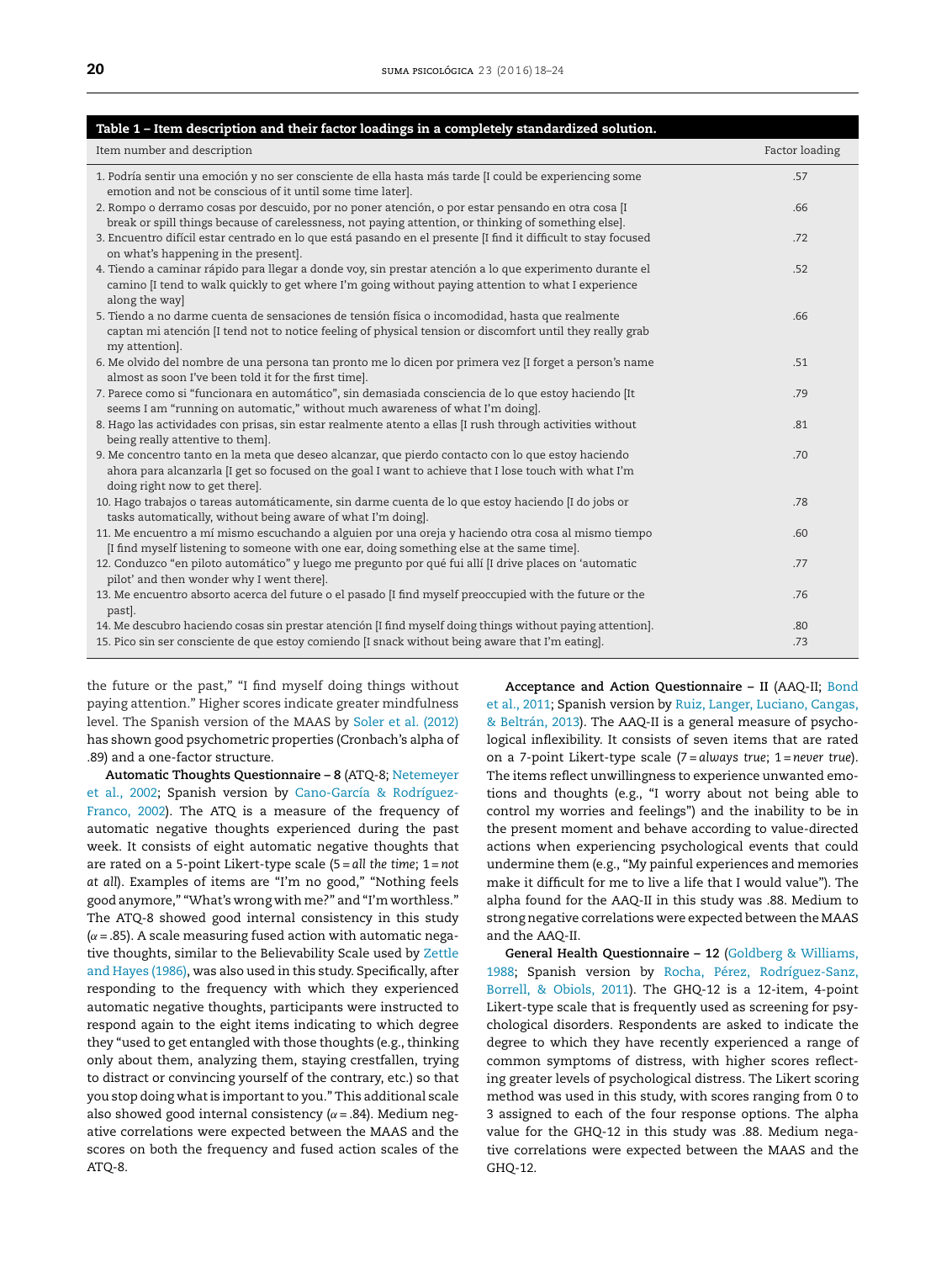<span id="page-2-0"></span>

| Table 1 - Item description and their factor loadings in a completely standardized solution.                                                                                                                                                   |                |
|-----------------------------------------------------------------------------------------------------------------------------------------------------------------------------------------------------------------------------------------------|----------------|
| Item number and description                                                                                                                                                                                                                   | Factor loading |
| 1. Podría sentir una emoción y no ser consciente de ella hasta más tarde [I could be experiencing some<br>emotion and not be conscious of it until some time later].                                                                          | .57            |
| 2. Rompo o derramo cosas por descuido, por no poner atención, o por estar pensando en otra cosa [I<br>break or spill things because of carelessness, not paying attention, or thinking of something else].                                    | .66            |
| 3. Encuentro difícil estar centrado en lo que está pasando en el presente [I find it difficult to stay focused<br>on what's happening in the present].                                                                                        | .72            |
| 4. Tiendo a caminar rápido para llegar a donde voy, sin prestar atención a lo que experimento durante el<br>camino [I tend to walk quickly to get where I'm going without paying attention to what I experience<br>along the way]             | .52            |
| 5. Tiendo a no darme cuenta de sensaciones de tensión física o incomodidad, hasta que realmente<br>captan mi atención [I tend not to notice feeling of physical tension or discomfort until they really grab<br>my attention].                | .66            |
| 6. Me olvido del nombre de una persona tan pronto me lo dicen por primera vez [I forget a person's name<br>almost as soon I've been told it for the first time].                                                                              | .51            |
| 7. Parece como si "funcionara en automático", sin demasiada consciencia de lo que estoy haciendo [It<br>seems I am "running on automatic," without much awareness of what I'm doing].                                                         | .79            |
| 8. Hago las actividades con prisas, sin estar realmente atento a ellas [I rush through activities without<br>being really attentive to them].                                                                                                 | .81            |
| 9. Me concentro tanto en la meta que deseo alcanzar, que pierdo contacto con lo que estoy haciendo<br>ahora para alcanzarla [I get so focused on the goal I want to achieve that I lose touch with what I'm<br>doing right now to get there]. | .70            |
| 10. Hago trabajos o tareas automáticamente, sin darme cuenta de lo que estoy haciendo [I do jobs or<br>tasks automatically, without being aware of what I'm doing].                                                                           | .78            |
| 11. Me encuentro a mí mismo escuchando a alguien por una oreja y haciendo otra cosa al mismo tiempo<br>[I find myself listening to someone with one ear, doing something else at the same time].                                              | .60            |
| 12. Conduzco "en piloto automático" y luego me pregunto por qué fui allí [I drive places on 'automatic<br>pilot' and then wonder why I went there].                                                                                           | .77            |
| 13. Me encuentro absorto acerca del future o el pasado [I find myself preoccupied with the future or the<br>past.                                                                                                                             | .76            |
| 14. Me descubro haciendo cosas sin prestar atención [I find myself doing things without paying attention].                                                                                                                                    | .80            |
| 15. Pico sin ser consciente de que estoy comiendo [I snack without being aware that I'm eating].                                                                                                                                              | .73            |

the future or the past," "I find myself doing things without paying attention." Higher scores indicate greater mindfulness level. The Spanish version of the MAAS by [Soler](#page-6-0) et [al.](#page-6-0) [\(2012\)](#page-6-0) has shown good psychometric properties (Cronbach's alpha of .89) and a one-factor structure.

**Automatic Thoughts Questionnaire – 8** (ATQ-8; [Netemeyer](#page-5-0) et [al.,](#page-5-0) [2002;](#page-5-0) Spanish version by [Cano-García](#page-5-0) [&](#page-5-0) [Rodríguez-](#page-5-0)Franco, [2002\).](#page-5-0) The ATQ is a measure of the frequency of automatic negative thoughts experienced during the past week. It consists of eight automatic negative thoughts that are rated on a 5-point Likert-type scale (5 = *all the time*; 1 = *not at all*). Examples of items are "I'm no good," "Nothing feels good anymore," "What's wrong with me?" and "I'm worthless." The ATQ-8 showed good internal consistency in this study  $(\alpha = .85)$ . A scale measuring fused action with automatic negative thoughts, similar to the Believability Scale used by [Zettle](#page-6-0) [and](#page-6-0) [Hayes](#page-6-0) [\(1986\),](#page-6-0) was also used in this study. Specifically, after responding to the frequency with which they experienced automatic negative thoughts, participants were instructed to respond again to the eight items indicating to which degree they "used to get entangled with those thoughts (e.g., thinking only about them, analyzing them, staying crestfallen, trying to distract or convincing yourself of the contrary, etc.) so that you stop doing what is important to you." This additional scale also showed good internal consistency ( $\alpha$  = .84). Medium negative correlations were expected between the MAAS and the scores on both the frequency and fused action scales of the ATQ-8.

**Acceptance and Action Questionnaire – II** (AAQ-II; [Bond](#page-5-0) et [al.,](#page-5-0) [2011;](#page-5-0) Spanish version by [Ruiz,](#page-5-0) [Langer,](#page-5-0) [Luciano,](#page-5-0) [Cangas,](#page-5-0) [&](#page-5-0) [Beltrán,](#page-5-0) [2013\).](#page-5-0) The AAQ-II is a general measure of psychological inflexibility. It consists of seven items that are rated on a 7-point Likert-type scale (7 = *always true*; 1 = *never true*). The items reflect unwillingness to experience unwanted emotions and thoughts (e.g., "I worry about not being able to control my worries and feelings") and the inability to be in the present moment and behave according to value-directed actions when experiencing psychological events that could undermine them (e.g., "My painful experiences and memories make it difficult for me to live a life that I would value"). The alpha found for the AAQ-II in this study was .88. Medium to strong negative correlations were expected between the MAAS and the AAQ-II.

**General Health Questionnaire – 12** ([Goldberg](#page-5-0) [&](#page-5-0) [Williams,](#page-5-0) [1988;](#page-5-0) Spanish version by [Rocha,](#page-5-0) [Pérez,](#page-5-0) [Rodríguez-Sanz,](#page-5-0) [Borrell,](#page-5-0) [&](#page-5-0) [Obiols,](#page-5-0) [2011\).](#page-5-0) The GHQ-12 is a 12-item, 4-point Likert-type scale that is frequently used as screening for psychological disorders. Respondents are asked to indicate the degree to which they have recently experienced a range of common symptoms of distress, with higher scores reflecting greater levels of psychological distress. The Likert scoring method was used in this study, with scores ranging from 0 to 3 assigned to each of the four response options. The alpha value for the GHQ-12 in this study was .88. Medium negative correlations were expected between the MAAS and the GHQ-12.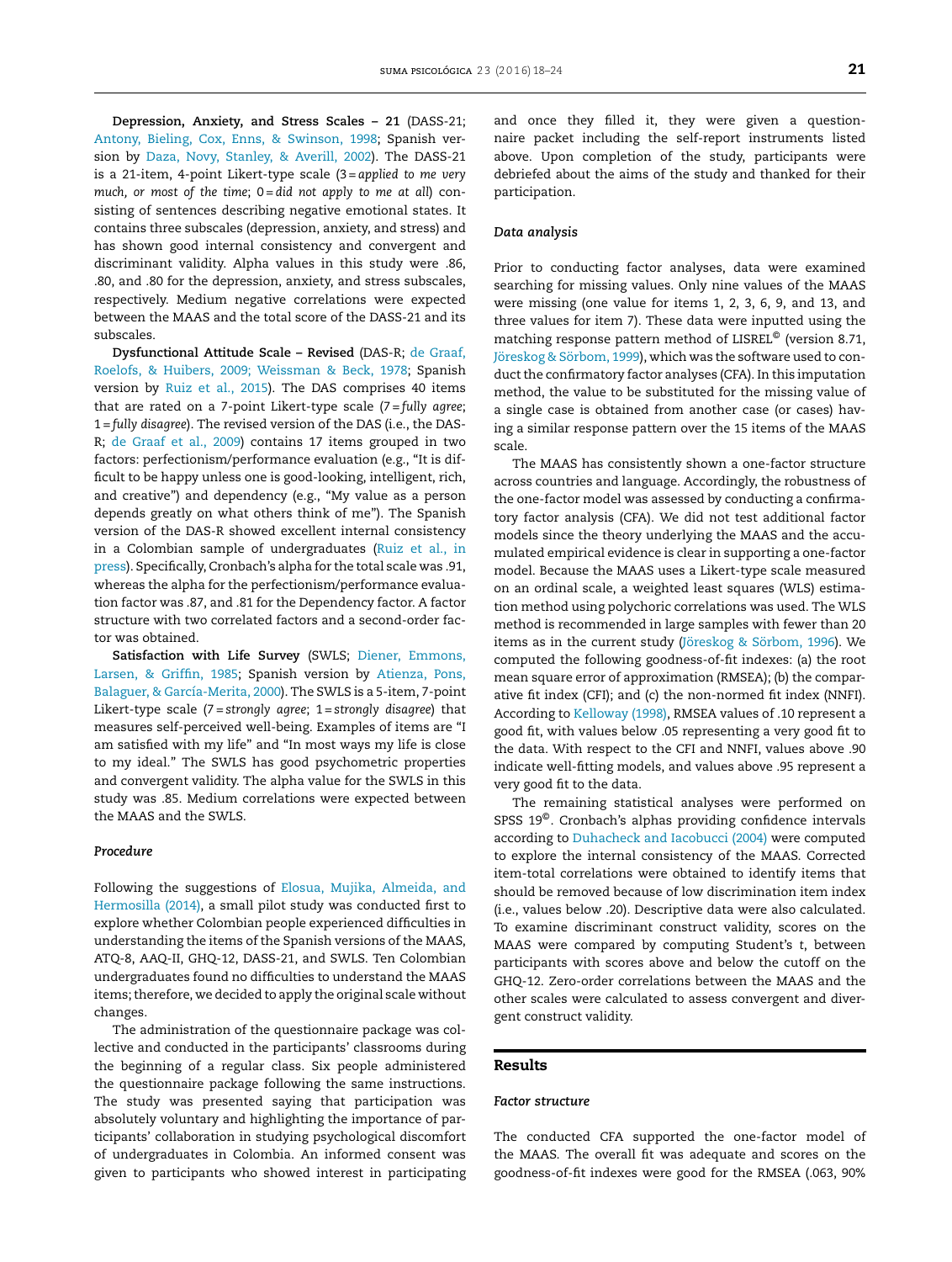**Depression, Anxiety, and Stress Scales – 21** (DASS-21; [Antony,](#page-5-0) [Bieling,](#page-5-0) [Cox,](#page-5-0) [Enns,](#page-5-0) [&](#page-5-0) [Swinson,](#page-5-0) [1998;](#page-5-0) Spanish version by [Daza,](#page-5-0) [Novy,](#page-5-0) [Stanley,](#page-5-0) [&](#page-5-0) [Averill,](#page-5-0) [2002\).](#page-5-0) The DASS-21 is a 21-item, 4-point Likert-type scale (3 = *applied to me very much, or most of the time*; 0 = *did not apply to me at all*) consisting of sentences describing negative emotional states. It contains three subscales (depression, anxiety, and stress) and has shown good internal consistency and convergent and discriminant validity. Alpha values in this study were .86, .80, and .80 for the depression, anxiety, and stress subscales, respectively. Medium negative correlations were expected between the MAAS and the total score of the DASS-21 and its subscales.

**Dysfunctional Attitude Scale – Revised** (DAS-R; [de](#page-5-0) [Graaf,](#page-5-0) [Roelofs,](#page-5-0) [&](#page-5-0) [Huibers,](#page-5-0) [2009;](#page-5-0) [Weissman](#page-5-0) [&](#page-5-0) [Beck,](#page-5-0) [1978;](#page-5-0) Spanish version by [Ruiz](#page-5-0) et [al.,](#page-5-0) [2015\).](#page-5-0) The DAS comprises 40 items that are rated on a 7-point Likert-type scale (7 = *fully agree*; 1 = *fully disagree*). The revised version of the DAS (i.e., the DAS-R; [de](#page-5-0) [Graaf](#page-5-0) et [al.,](#page-5-0) [2009\)](#page-5-0) contains 17 items grouped in two factors: perfectionism/performance evaluation (e.g., "It is difficult to be happy unless one is good-looking, intelligent, rich, and creative") and dependency (e.g., "My value as a person depends greatly on what others think of me"). The Spanish version of the DAS-R showed excellent internal consistency in a Colombian sample of undergraduates ([Ruiz](#page-5-0) et [al.,](#page-5-0) [in](#page-5-0) [press\).](#page-5-0) Specifically, Cronbach's alpha for the total scale was .91, whereas the alpha for the perfectionism/performance evaluation factor was .87, and .81 for the Dependency factor. A factor structure with two correlated factors and a second-order factor was obtained.

**Satisfaction with Life Survey** (SWLS; [Diener,](#page-5-0) [Emmons,](#page-5-0) [Larsen,](#page-5-0) [&](#page-5-0) [Griffin,](#page-5-0) [1985;](#page-5-0) Spanish version by [Atienza,](#page-5-0) [Pons,](#page-5-0) [Balaguer,](#page-5-0) [&](#page-5-0) [García-Merita,](#page-5-0) [2000\).](#page-5-0) The SWLS is a 5-item, 7-point Likert-type scale (7 = *strongly agree*; 1 = *strongly disagree*) that measures self-perceived well-being. Examples of items are "I am satisfied with my life" and "In most ways my life is close to my ideal." The SWLS has good psychometric properties and convergent validity. The alpha value for the SWLS in this study was .85. Medium correlations were expected between the MAAS and the SWLS.

#### *Procedure*

Following the suggestions of [Elosua,](#page-5-0) [Mujika,](#page-5-0) [Almeida,](#page-5-0) [and](#page-5-0) [Hermosilla](#page-5-0) [\(2014\),](#page-5-0) a small pilot study was conducted first to explore whether Colombian people experienced difficulties in understanding the items of the Spanish versions of the MAAS, ATQ-8, AAQ-II, GHQ-12, DASS-21, and SWLS. Ten Colombian undergraduates found no difficulties to understand the MAAS items; therefore, we decided to apply the original scale without changes.

The administration of the questionnaire package was collective and conducted in the participants' classrooms during the beginning of a regular class. Six people administered the questionnaire package following the same instructions. The study was presented saying that participation was absolutely voluntary and highlighting the importance of participants' collaboration in studying psychological discomfort of undergraduates in Colombia. An informed consent was given to participants who showed interest in participating and once they filled it, they were given a questionnaire packet including the self-report instruments listed above. Upon completion of the study, participants were debriefed about the aims of the study and thanked for their participation.

#### *Data analysis*

Prior to conducting factor analyses, data were examined searching for missing values. Only nine values of the MAAS were missing (one value for items 1, 2, 3, 6, 9, and 13, and three values for item 7). These data were inputted using the matching response pattern method of LISREL© (version 8.71, [Jöreskog](#page-5-0) [&](#page-5-0) [Sörbom,](#page-5-0) [1999\),](#page-5-0) which was the software used to conduct the confirmatory factor analyses (CFA). In this imputation method, the value to be substituted for the missing value of a single case is obtained from another case (or cases) having a similar response pattern over the 15 items of the MAAS scale.

The MAAS has consistently shown a one-factor structure across countries and language. Accordingly, the robustness of the one-factor model was assessed by conducting a confirmatory factor analysis (CFA). We did not test additional factor models since the theory underlying the MAAS and the accumulated empirical evidence is clear in supporting a one-factor model. Because the MAAS uses a Likert-type scale measured on an ordinal scale, a weighted least squares (WLS) estimation method using polychoric correlations was used. The WLS method is recommended in large samples with fewer than 20 items as in the current study [\(Jöreskog](#page-5-0) [&](#page-5-0) [Sörbom,](#page-5-0) [1996\).](#page-5-0) We computed the following goodness-of-fit indexes: (a) the root mean square error of approximation (RMSEA); (b) the comparative fit index (CFI); and (c) the non-normed fit index (NNFI). According to [Kelloway](#page-5-0) [\(1998\),](#page-5-0) RMSEA values of .10 represent a good fit, with values below .05 representing a very good fit to the data. With respect to the CFI and NNFI, values above .90 indicate well-fitting models, and values above .95 represent a very good fit to the data.

The remaining statistical analyses were performed on SPSS 19©. Cronbach's alphas providing confidence intervals according to [Duhacheck](#page-5-0) [and](#page-5-0) [Iacobucci](#page-5-0) [\(2004\)](#page-5-0) were computed to explore the internal consistency of the MAAS. Corrected item-total correlations were obtained to identify items that should be removed because of low discrimination item index (i.e., values below .20). Descriptive data were also calculated. To examine discriminant construct validity, scores on the MAAS were compared by computing Student's *t*, between participants with scores above and below the cutoff on the GHQ-12. Zero-order correlations between the MAAS and the other scales were calculated to assess convergent and divergent construct validity.

#### **Results**

#### *Factor structure*

The conducted CFA supported the one-factor model of the MAAS. The overall fit was adequate and scores on the goodness-of-fit indexes were good for the RMSEA (.063, 90%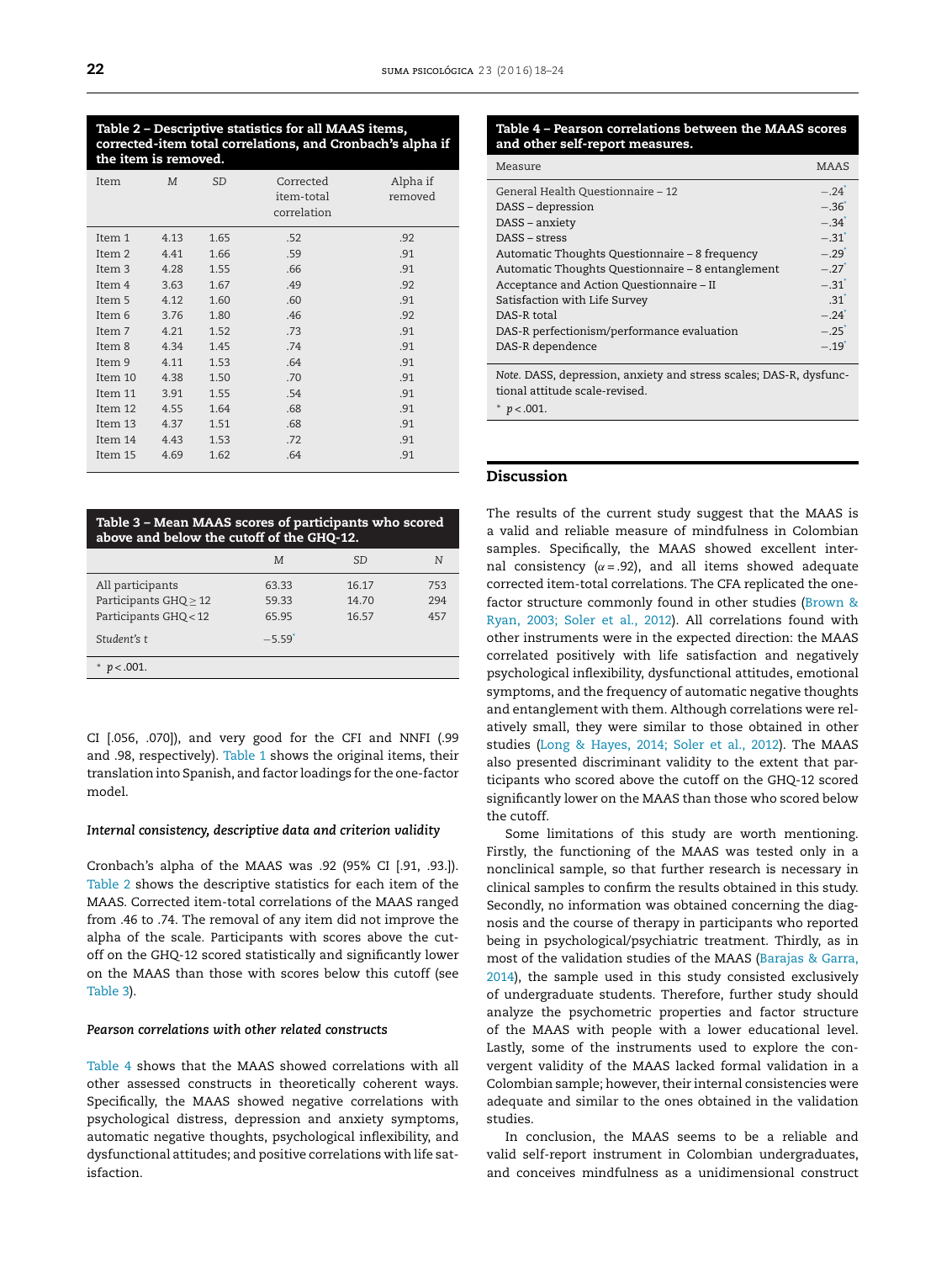#### **Table 2 – Descriptive statistics for all MAAS items, corrected-item total correlations, and Cronbach's alpha if the item is removed.**

| Item    | M    | <b>SD</b> | Corrected<br>item-total<br>correlation | Alpha if<br>removed |
|---------|------|-----------|----------------------------------------|---------------------|
| Item 1  | 4.13 | 1.65      | .52                                    | .92                 |
| Item 2  | 4.41 | 1.66      | .59                                    | .91                 |
| Item 3  | 4.28 | 1.55      | .66                                    | .91                 |
| Item 4  | 3.63 | 1.67      | .49                                    | .92                 |
| Item 5  | 4.12 | 1.60      | .60                                    | .91                 |
| Item 6  | 3.76 | 1.80      | .46                                    | .92                 |
| Item 7  | 4.21 | 1.52      | .73                                    | .91                 |
| Item 8  | 4.34 | 1.45      | .74                                    | .91                 |
| Item 9  | 4.11 | 1.53      | .64                                    | .91                 |
| Item 10 | 4.38 | 1.50      | .70                                    | .91                 |
| Item 11 | 3.91 | 1.55      | .54                                    | .91                 |
| Item 12 | 4.55 | 1.64      | .68                                    | .91                 |
| Item 13 | 4.37 | 1.51      | .68                                    | .91                 |
| Item 14 | 4.43 | 1.53      | .72                                    | .91                 |
| Item 15 | 4.69 | 1.62      | .64                                    | .91                 |

| Table 3 - Mean MAAS scores of participants who scored<br>above and below the cutoff of the GHQ-12. |         |           |     |  |  |  |
|----------------------------------------------------------------------------------------------------|---------|-----------|-----|--|--|--|
|                                                                                                    | M       | <b>SD</b> | N   |  |  |  |
| All participants                                                                                   | 63.33   | 16.17     | 753 |  |  |  |
| Participants GHQ > 12                                                                              | 59.33   | 14.70     | 294 |  |  |  |
| Participants GHQ < 12                                                                              | 6595    | 16.57     | 457 |  |  |  |
| Student's t                                                                                        | $-5.59$ |           |     |  |  |  |
| $< 0.001$ .                                                                                        |         |           |     |  |  |  |

CI [.056, .070]), and very good for the CFI and NNFI (.99 and .98, respectively). [Table](#page-2-0) 1 shows the original items, their translation into Spanish, and factor loadings for the one-factor model.

#### *Internal consistency, descriptive data and criterion validity*

Cronbach's alpha of the MAAS was .92 (95% CI [.91, .93.]). Table 2 shows the descriptive statistics for each item of the MAAS. Corrected item-total correlations of the MAAS ranged from .46 to .74. The removal of any item did not improve the alpha of the scale. Participants with scores above the cutoff on the GHQ-12 scored statistically and significantly lower on the MAAS than those with scores below this cutoff (see Table 3).

#### *Pearson correlations with other related constructs*

Table 4 shows that the MAAS showed correlations with all other assessed constructs in theoretically coherent ways. Specifically, the MAAS showed negative correlations with psychological distress, depression and anxiety symptoms, automatic negative thoughts, psychological inflexibility, and dysfunctional attitudes; and positive correlations with life satisfaction.

#### **Table 4 – Pearson correlations between the MAAS scores and other self-report measures.**

| Measure                                                                                              | <b>MAAS</b>         |  |  |  |
|------------------------------------------------------------------------------------------------------|---------------------|--|--|--|
| General Health Questionnaire - 12                                                                    | $-24$ <sup>'</sup>  |  |  |  |
| DASS - depression                                                                                    | $-.36'$             |  |  |  |
| DASS - anxiety                                                                                       | $-.34$ <sup>*</sup> |  |  |  |
| DASS - stress                                                                                        | $-.31$ <sup>*</sup> |  |  |  |
| Automatic Thoughts Questionnaire – 8 frequency                                                       | $-.29$ <sup>*</sup> |  |  |  |
| Automatic Thoughts Questionnaire - 8 entanglement                                                    | $-27$ <sup>*</sup>  |  |  |  |
| Acceptance and Action Questionnaire - II                                                             | $-.31$ <sup>*</sup> |  |  |  |
| Satisfaction with Life Survey                                                                        | 31                  |  |  |  |
| DAS-R total                                                                                          | $-24$ <sup>*</sup>  |  |  |  |
| DAS-R perfectionism/performance evaluation                                                           | $-.25$ <sup>*</sup> |  |  |  |
| DAS-R dependence                                                                                     | $-19$ <sup>*</sup>  |  |  |  |
| Note. DASS, depression, anxiety and stress scales; DAS-R, dysfunc-<br>tional attitude scale-revised. |                     |  |  |  |

 $p$  < .001.

#### **Discussion**

The results of the current study suggest that the MAAS is a valid and reliable measure of mindfulness in Colombian samples. Specifically, the MAAS showed excellent internal consistency ( $\alpha$  = .92), and all items showed adequate corrected item-total correlations. The CFA replicated the onefactor structure commonly found in other studies [\(Brown](#page-5-0) [&](#page-5-0) [Ryan,](#page-5-0) [2003;](#page-5-0) [Soler](#page-5-0) et [al.,](#page-5-0) [2012\).](#page-5-0) All correlations found with other instruments were in the expected direction: the MAAS correlated positively with life satisfaction and negatively psychological inflexibility, dysfunctional attitudes, emotional symptoms, and the frequency of automatic negative thoughts and entanglement with them. Although correlations were relatively small, they were similar to those obtained in other studies ([Long](#page-5-0) [&](#page-5-0) [Hayes,](#page-5-0) [2014;](#page-5-0) [Soler](#page-5-0) et [al.,](#page-5-0) [2012\).](#page-5-0) The MAAS also presented discriminant validity to the extent that participants who scored above the cutoff on the GHQ-12 scored significantly lower on the MAAS than those who scored below the cutoff.

Some limitations of this study are worth mentioning. Firstly, the functioning of the MAAS was tested only in a nonclinical sample, so that further research is necessary in clinical samples to confirm the results obtained in this study. Secondly, no information was obtained concerning the diagnosis and the course of therapy in participants who reported being in psychological/psychiatric treatment. Thirdly, as in most of the validation studies of the MAAS ([Barajas](#page-5-0) [&](#page-5-0) [Garra,](#page-5-0) [2014\),](#page-5-0) the sample used in this study consisted exclusively of undergraduate students. Therefore, further study should analyze the psychometric properties and factor structure of the MAAS with people with a lower educational level. Lastly, some of the instruments used to explore the convergent validity of the MAAS lacked formal validation in a Colombian sample; however, their internal consistencies were adequate and similar to the ones obtained in the validation studies.

In conclusion, the MAAS seems to be a reliable and valid self-report instrument in Colombian undergraduates, and conceives mindfulness as a unidimensional construct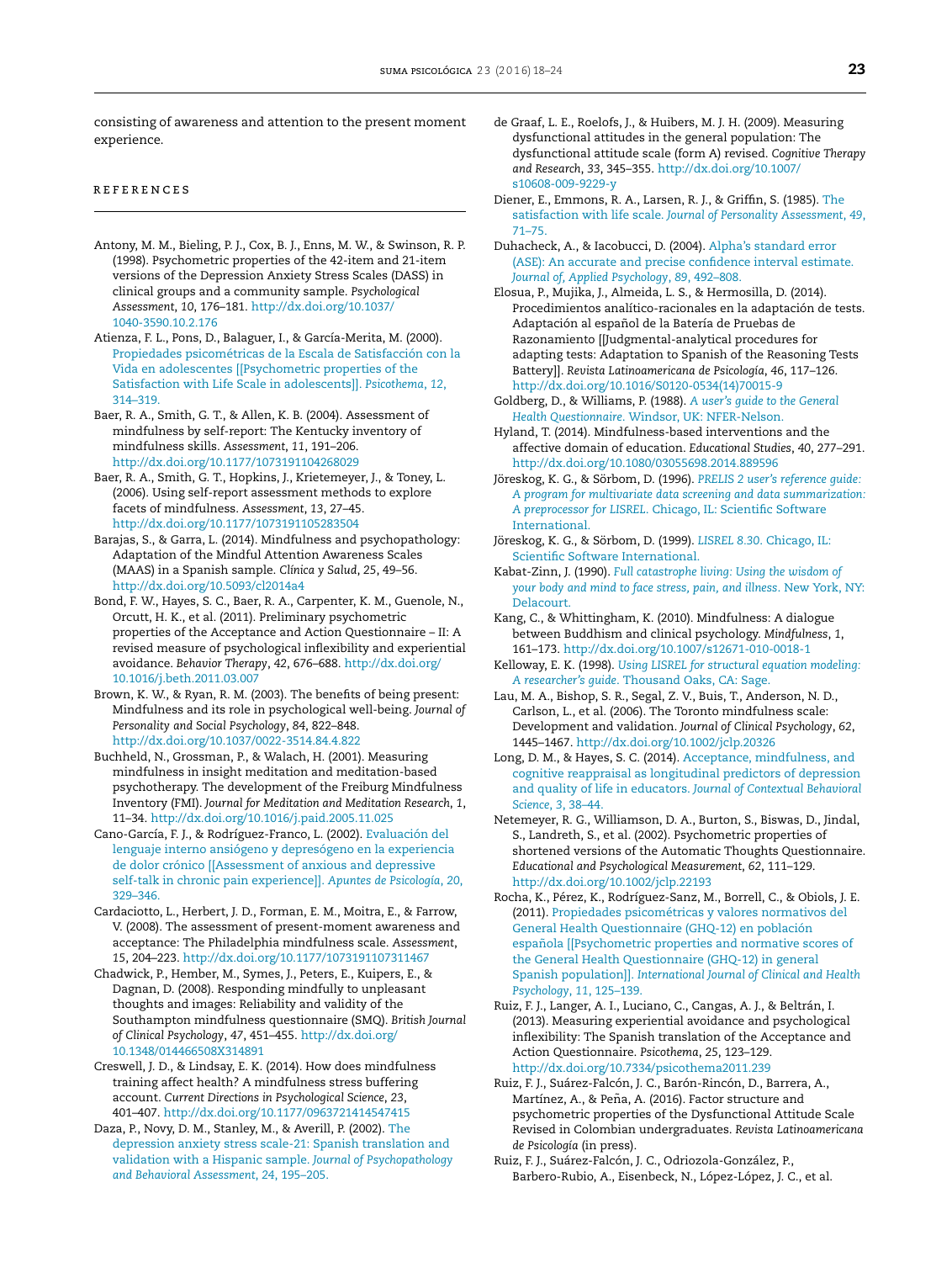<span id="page-5-0"></span>consisting of awareness and attention to the present moment experience.

#### r e f e r enc e s

- Antony, M. M., Bieling, P. J., Cox, B. J., Enns, M. W., & Swinson, R. P. (1998). Psychometric properties of the 42-item and 21-item versions of the Depression Anxiety Stress Scales (DASS) in clinical groups and a community sample. *Psychological Assessment*, *10*, 176–181. [http://dx.doi.org/10.1037/](dx.doi.org/10.1037/1040-3590.10.2.176) [1040-3590.10.2.176](dx.doi.org/10.1037/1040-3590.10.2.176)
- Atienza, F. L., Pons, D., Balaguer, I., & García-Merita, M. (2000). [Propiedades](http://refhub.elsevier.com/S0121-4381(16)00006-0/sbref0010) [psicométricas](http://refhub.elsevier.com/S0121-4381(16)00006-0/sbref0010) [de](http://refhub.elsevier.com/S0121-4381(16)00006-0/sbref0010) [la](http://refhub.elsevier.com/S0121-4381(16)00006-0/sbref0010) [Escala](http://refhub.elsevier.com/S0121-4381(16)00006-0/sbref0010) [de](http://refhub.elsevier.com/S0121-4381(16)00006-0/sbref0010) [Satisfacción](http://refhub.elsevier.com/S0121-4381(16)00006-0/sbref0010) [con](http://refhub.elsevier.com/S0121-4381(16)00006-0/sbref0010) [la](http://refhub.elsevier.com/S0121-4381(16)00006-0/sbref0010) [Vida](http://refhub.elsevier.com/S0121-4381(16)00006-0/sbref0010) [en](http://refhub.elsevier.com/S0121-4381(16)00006-0/sbref0010) [adolescentes](http://refhub.elsevier.com/S0121-4381(16)00006-0/sbref0010) [\[\[Psychometric](http://refhub.elsevier.com/S0121-4381(16)00006-0/sbref0010) [properties](http://refhub.elsevier.com/S0121-4381(16)00006-0/sbref0010) [of](http://refhub.elsevier.com/S0121-4381(16)00006-0/sbref0010) [the](http://refhub.elsevier.com/S0121-4381(16)00006-0/sbref0010) [Satisfaction](http://refhub.elsevier.com/S0121-4381(16)00006-0/sbref0010) [with](http://refhub.elsevier.com/S0121-4381(16)00006-0/sbref0010) [Life](http://refhub.elsevier.com/S0121-4381(16)00006-0/sbref0010) [Scale](http://refhub.elsevier.com/S0121-4381(16)00006-0/sbref0010) [in](http://refhub.elsevier.com/S0121-4381(16)00006-0/sbref0010) [adolescents\]\].](http://refhub.elsevier.com/S0121-4381(16)00006-0/sbref0010) *[Psicothema](http://refhub.elsevier.com/S0121-4381(16)00006-0/sbref0010)*[,](http://refhub.elsevier.com/S0121-4381(16)00006-0/sbref0010) *[12](http://refhub.elsevier.com/S0121-4381(16)00006-0/sbref0010)*[,](http://refhub.elsevier.com/S0121-4381(16)00006-0/sbref0010) [314](http://refhub.elsevier.com/S0121-4381(16)00006-0/sbref0010)–[319.](http://refhub.elsevier.com/S0121-4381(16)00006-0/sbref0010)
- Baer, R. A., Smith, G. T., & Allen, K. B. (2004). Assessment of mindfulness by self-report: The Kentucky inventory of mindfulness skills. *Assessment*, *11*, 191–206. [http://dx.doi.org/10.1177/1073191104268029](dx.doi.org/10.1177/1073191104268029)
- Baer, R. A., Smith, G. T., Hopkins, J., Krietemeyer, J., & Toney, L. (2006). Using self-report assessment methods to explore facets of mindfulness. *Assessment*, *13*, 27–45. [http://dx.doi.org/10.1177/1073191105283504](dx.doi.org/10.1177/1073191105283504)
- Barajas, S., & Garra, L. (2014). Mindfulness and psychopathology: Adaptation of the Mindful Attention Awareness Scales (MAAS) in a Spanish sample. *Clínica y Salud*, *25*, 49–56. [http://dx.doi.org/10.5093/cl2014a4](dx.doi.org/10.5093/cl2014a4)
- Bond, F. W., Hayes, S. C., Baer, R. A., Carpenter, K. M., Guenole, N., Orcutt, H. K., et al. (2011). Preliminary psychometric properties of the Acceptance and Action Questionnaire – II: A revised measure of psychological inflexibility and experiential avoidance. *Behavior Therapy*, *42*, 676–688. [http://dx.doi.org/](dx.doi.org/10.1016/j.beth.2011.03.007) [10.1016/j.beth.2011.03.007](dx.doi.org/10.1016/j.beth.2011.03.007)
- Brown, K. W., & Ryan, R. M. (2003). The benefits of being present: Mindfulness and its role in psychological well-being. *Journal of Personality and Social Psychology*, *84*, 822–848. [http://dx.doi.org/10.1037/0022-3514.84.4.822](dx.doi.org/10.1037/0022-3514.84.4.822)
- Buchheld, N., Grossman, P., & Walach, H. (2001). Measuring mindfulness in insight meditation and meditation-based psychotherapy. The development of the Freiburg Mindfulness Inventory (FMI). *Journal for Meditation and Meditation Research*, *1*, 11–34. [http://dx.doi.org/10.1016/j.paid.2005.11.025](dx.doi.org/10.1016/j.paid.2005.11.025)
- Cano-García, F. J., & Rodríguez-Franco, L. (2002). [Evaluación](http://refhub.elsevier.com/S0121-4381(16)00006-0/sbref0045) [del](http://refhub.elsevier.com/S0121-4381(16)00006-0/sbref0045) [lenguaje](http://refhub.elsevier.com/S0121-4381(16)00006-0/sbref0045) [interno](http://refhub.elsevier.com/S0121-4381(16)00006-0/sbref0045) [ansiógeno](http://refhub.elsevier.com/S0121-4381(16)00006-0/sbref0045) [y](http://refhub.elsevier.com/S0121-4381(16)00006-0/sbref0045) [depresógeno](http://refhub.elsevier.com/S0121-4381(16)00006-0/sbref0045) [en](http://refhub.elsevier.com/S0121-4381(16)00006-0/sbref0045) [la](http://refhub.elsevier.com/S0121-4381(16)00006-0/sbref0045) [experiencia](http://refhub.elsevier.com/S0121-4381(16)00006-0/sbref0045) [de](http://refhub.elsevier.com/S0121-4381(16)00006-0/sbref0045) [dolor](http://refhub.elsevier.com/S0121-4381(16)00006-0/sbref0045) [crónico](http://refhub.elsevier.com/S0121-4381(16)00006-0/sbref0045) [\[\[Assessment](http://refhub.elsevier.com/S0121-4381(16)00006-0/sbref0045) [of](http://refhub.elsevier.com/S0121-4381(16)00006-0/sbref0045) [anxious](http://refhub.elsevier.com/S0121-4381(16)00006-0/sbref0045) [and](http://refhub.elsevier.com/S0121-4381(16)00006-0/sbref0045) [depressive](http://refhub.elsevier.com/S0121-4381(16)00006-0/sbref0045) [self-talk](http://refhub.elsevier.com/S0121-4381(16)00006-0/sbref0045) [in](http://refhub.elsevier.com/S0121-4381(16)00006-0/sbref0045) [chronic](http://refhub.elsevier.com/S0121-4381(16)00006-0/sbref0045) [pain](http://refhub.elsevier.com/S0121-4381(16)00006-0/sbref0045) [experience\]\].](http://refhub.elsevier.com/S0121-4381(16)00006-0/sbref0045) *[Apuntes](http://refhub.elsevier.com/S0121-4381(16)00006-0/sbref0045) [de](http://refhub.elsevier.com/S0121-4381(16)00006-0/sbref0045) [Psicología](http://refhub.elsevier.com/S0121-4381(16)00006-0/sbref0045)*[,](http://refhub.elsevier.com/S0121-4381(16)00006-0/sbref0045) *[20](http://refhub.elsevier.com/S0121-4381(16)00006-0/sbref0045)*[,](http://refhub.elsevier.com/S0121-4381(16)00006-0/sbref0045) [329](http://refhub.elsevier.com/S0121-4381(16)00006-0/sbref0045)–[346.](http://refhub.elsevier.com/S0121-4381(16)00006-0/sbref0045)
- Cardaciotto, L., Herbert, J. D., Forman, E. M., Moitra, E., & Farrow, V. (2008). The assessment of present-moment awareness and acceptance: The Philadelphia mindfulness scale. *Assessment*, *15*, 204–223. [http://dx.doi.org/10.1177/1073191107311467](dx.doi.org/10.1177/1073191107311467)
- Chadwick, P., Hember, M., Symes, J., Peters, E., Kuipers, E., & Dagnan, D. (2008). Responding mindfully to unpleasant thoughts and images: Reliability and validity of the Southampton mindfulness questionnaire (SMQ). *British Journal of Clinical Psychology*, *47*, 451–455. [http://dx.doi.org/](dx.doi.org/10.1348/014466508X314891) [10.1348/014466508X314891](dx.doi.org/10.1348/014466508X314891)
- Creswell, J. D., & Lindsay, E. K. (2014). How does mindfulness training affect health? A mindfulness stress buffering account. *Current Directions in Psychological Science*, *23*, 401–407. [http://dx.doi.org/10.1177/0963721414547415](dx.doi.org/10.1177/0963721414547415)
- Daza, P., Novy, D. M., Stanley, M., & Averill, P. (2002). [The](http://refhub.elsevier.com/S0121-4381(16)00006-0/sbref0065) [depression](http://refhub.elsevier.com/S0121-4381(16)00006-0/sbref0065) [anxiety](http://refhub.elsevier.com/S0121-4381(16)00006-0/sbref0065) [stress](http://refhub.elsevier.com/S0121-4381(16)00006-0/sbref0065) [scale-21:](http://refhub.elsevier.com/S0121-4381(16)00006-0/sbref0065) [Spanish](http://refhub.elsevier.com/S0121-4381(16)00006-0/sbref0065) [translation](http://refhub.elsevier.com/S0121-4381(16)00006-0/sbref0065) [and](http://refhub.elsevier.com/S0121-4381(16)00006-0/sbref0065) [validation](http://refhub.elsevier.com/S0121-4381(16)00006-0/sbref0065) [with](http://refhub.elsevier.com/S0121-4381(16)00006-0/sbref0065) [a](http://refhub.elsevier.com/S0121-4381(16)00006-0/sbref0065) [Hispanic](http://refhub.elsevier.com/S0121-4381(16)00006-0/sbref0065) [sample.](http://refhub.elsevier.com/S0121-4381(16)00006-0/sbref0065) *[Journal](http://refhub.elsevier.com/S0121-4381(16)00006-0/sbref0065) [of](http://refhub.elsevier.com/S0121-4381(16)00006-0/sbref0065) [Psychopathology](http://refhub.elsevier.com/S0121-4381(16)00006-0/sbref0065) [and](http://refhub.elsevier.com/S0121-4381(16)00006-0/sbref0065) [Behavioral](http://refhub.elsevier.com/S0121-4381(16)00006-0/sbref0065) [Assessment](http://refhub.elsevier.com/S0121-4381(16)00006-0/sbref0065)*[,](http://refhub.elsevier.com/S0121-4381(16)00006-0/sbref0065) *[24](http://refhub.elsevier.com/S0121-4381(16)00006-0/sbref0065)*[,](http://refhub.elsevier.com/S0121-4381(16)00006-0/sbref0065) [195–205.](http://refhub.elsevier.com/S0121-4381(16)00006-0/sbref0065)
- de Graaf, L. E., Roelofs, J., & Huibers, M. J. H. (2009). Measuring dysfunctional attitudes in the general population: The dysfunctional attitude scale (form A) revised. *Cognitive Therapy and Research*, *33*, 345–355. [http://dx.doi.org/10.1007/](dx.doi.org/10.1007/s10608-009-9229-y) [s10608-009-9229-y](dx.doi.org/10.1007/s10608-009-9229-y)
- Diener, E., Emmons, R. A., Larsen, R. J., & Griffin, S. (1985). [The](http://refhub.elsevier.com/S0121-4381(16)00006-0/sbref0075) [satisfaction](http://refhub.elsevier.com/S0121-4381(16)00006-0/sbref0075) [with](http://refhub.elsevier.com/S0121-4381(16)00006-0/sbref0075) [life](http://refhub.elsevier.com/S0121-4381(16)00006-0/sbref0075) [scale.](http://refhub.elsevier.com/S0121-4381(16)00006-0/sbref0075) *[Journal](http://refhub.elsevier.com/S0121-4381(16)00006-0/sbref0075) [of](http://refhub.elsevier.com/S0121-4381(16)00006-0/sbref0075) [Personality](http://refhub.elsevier.com/S0121-4381(16)00006-0/sbref0075) [Assessment](http://refhub.elsevier.com/S0121-4381(16)00006-0/sbref0075)*[,](http://refhub.elsevier.com/S0121-4381(16)00006-0/sbref0075) *[49](http://refhub.elsevier.com/S0121-4381(16)00006-0/sbref0075)*[,](http://refhub.elsevier.com/S0121-4381(16)00006-0/sbref0075) [71–75.](http://refhub.elsevier.com/S0121-4381(16)00006-0/sbref0075)
- Duhacheck, A., & Iacobucci, D. (2004). [Alpha's](http://refhub.elsevier.com/S0121-4381(16)00006-0/sbref0080) [standard](http://refhub.elsevier.com/S0121-4381(16)00006-0/sbref0080) [error](http://refhub.elsevier.com/S0121-4381(16)00006-0/sbref0080) [\(ASE\):](http://refhub.elsevier.com/S0121-4381(16)00006-0/sbref0080) [An](http://refhub.elsevier.com/S0121-4381(16)00006-0/sbref0080) [accurate](http://refhub.elsevier.com/S0121-4381(16)00006-0/sbref0080) [and](http://refhub.elsevier.com/S0121-4381(16)00006-0/sbref0080) [precise](http://refhub.elsevier.com/S0121-4381(16)00006-0/sbref0080) [confidence](http://refhub.elsevier.com/S0121-4381(16)00006-0/sbref0080) [interval](http://refhub.elsevier.com/S0121-4381(16)00006-0/sbref0080) [estimate](http://refhub.elsevier.com/S0121-4381(16)00006-0/sbref0080). *[Journal](http://refhub.elsevier.com/S0121-4381(16)00006-0/sbref0080) [of,](http://refhub.elsevier.com/S0121-4381(16)00006-0/sbref0080) [Applied](http://refhub.elsevier.com/S0121-4381(16)00006-0/sbref0080) [Psychology](http://refhub.elsevier.com/S0121-4381(16)00006-0/sbref0080)*[,](http://refhub.elsevier.com/S0121-4381(16)00006-0/sbref0080) *[89](http://refhub.elsevier.com/S0121-4381(16)00006-0/sbref0080)*[,](http://refhub.elsevier.com/S0121-4381(16)00006-0/sbref0080) [492–808.](http://refhub.elsevier.com/S0121-4381(16)00006-0/sbref0080)
- Elosua, P., Mujika, J., Almeida, L. S., & Hermosilla, D. (2014). Procedimientos analítico-racionales en la adaptación de tests. Adaptación al español de la Batería de Pruebas de Razonamiento [[Judgmental-analytical procedures for adapting tests: Adaptation to Spanish of the Reasoning Tests Battery]]. *Revista Latinoamericana de Psicología*, *46*, 117–126. [http://dx.doi.org/10.1016/S0120-0534\(14\)70015-9](dx.doi.org/10.1016/S0120-0534(14)70015-9)
- Goldberg, D., & Williams, P. (1988). *[A](http://refhub.elsevier.com/S0121-4381(16)00006-0/sbref0090) [user's](http://refhub.elsevier.com/S0121-4381(16)00006-0/sbref0090) [guide](http://refhub.elsevier.com/S0121-4381(16)00006-0/sbref0090) [to](http://refhub.elsevier.com/S0121-4381(16)00006-0/sbref0090) [the](http://refhub.elsevier.com/S0121-4381(16)00006-0/sbref0090) [General](http://refhub.elsevier.com/S0121-4381(16)00006-0/sbref0090) [Health](http://refhub.elsevier.com/S0121-4381(16)00006-0/sbref0090) [Questionnaire](http://refhub.elsevier.com/S0121-4381(16)00006-0/sbref0090)*[.](http://refhub.elsevier.com/S0121-4381(16)00006-0/sbref0090) [Windsor,](http://refhub.elsevier.com/S0121-4381(16)00006-0/sbref0090) [UK:](http://refhub.elsevier.com/S0121-4381(16)00006-0/sbref0090) [NFER-Nelson.](http://refhub.elsevier.com/S0121-4381(16)00006-0/sbref0090)
- Hyland, T. (2014). Mindfulness-based interventions and the affective domain of education. *Educational Studies*, *40*, 277–291. [http://dx.doi.org/10.1080/03055698.2014.889596](dx.doi.org/10.1080/03055698.2014.889596)
- Jöreskog, K. G., & Sörbom, D. (1996). *[PRELIS](http://refhub.elsevier.com/S0121-4381(16)00006-0/sbref0100) [2](http://refhub.elsevier.com/S0121-4381(16)00006-0/sbref0100) [user's](http://refhub.elsevier.com/S0121-4381(16)00006-0/sbref0100) [reference](http://refhub.elsevier.com/S0121-4381(16)00006-0/sbref0100) [guide:](http://refhub.elsevier.com/S0121-4381(16)00006-0/sbref0100) [A](http://refhub.elsevier.com/S0121-4381(16)00006-0/sbref0100) [program](http://refhub.elsevier.com/S0121-4381(16)00006-0/sbref0100) [for](http://refhub.elsevier.com/S0121-4381(16)00006-0/sbref0100) [multivariate](http://refhub.elsevier.com/S0121-4381(16)00006-0/sbref0100) [data](http://refhub.elsevier.com/S0121-4381(16)00006-0/sbref0100) [screening](http://refhub.elsevier.com/S0121-4381(16)00006-0/sbref0100) [and](http://refhub.elsevier.com/S0121-4381(16)00006-0/sbref0100) [data](http://refhub.elsevier.com/S0121-4381(16)00006-0/sbref0100) [summarization:](http://refhub.elsevier.com/S0121-4381(16)00006-0/sbref0100) [A](http://refhub.elsevier.com/S0121-4381(16)00006-0/sbref0100) [preprocessor](http://refhub.elsevier.com/S0121-4381(16)00006-0/sbref0100) [for](http://refhub.elsevier.com/S0121-4381(16)00006-0/sbref0100) [LISREL](http://refhub.elsevier.com/S0121-4381(16)00006-0/sbref0100)*[.](http://refhub.elsevier.com/S0121-4381(16)00006-0/sbref0100) [Chicago,](http://refhub.elsevier.com/S0121-4381(16)00006-0/sbref0100) [IL:](http://refhub.elsevier.com/S0121-4381(16)00006-0/sbref0100) [Scientific](http://refhub.elsevier.com/S0121-4381(16)00006-0/sbref0100) [Software](http://refhub.elsevier.com/S0121-4381(16)00006-0/sbref0100) [International.](http://refhub.elsevier.com/S0121-4381(16)00006-0/sbref0100)
- Jöreskog, K. G., & Sörbom, D. (1999). *[LISREL](http://refhub.elsevier.com/S0121-4381(16)00006-0/sbref0105) [8.30](http://refhub.elsevier.com/S0121-4381(16)00006-0/sbref0105)*[.](http://refhub.elsevier.com/S0121-4381(16)00006-0/sbref0105) [Chicago,](http://refhub.elsevier.com/S0121-4381(16)00006-0/sbref0105) [IL:](http://refhub.elsevier.com/S0121-4381(16)00006-0/sbref0105) [Scientific](http://refhub.elsevier.com/S0121-4381(16)00006-0/sbref0105) [Software](http://refhub.elsevier.com/S0121-4381(16)00006-0/sbref0105) [International.](http://refhub.elsevier.com/S0121-4381(16)00006-0/sbref0105)
- Kabat-Zinn, J. (1990). *[Full](http://refhub.elsevier.com/S0121-4381(16)00006-0/sbref0110) [catastrophe](http://refhub.elsevier.com/S0121-4381(16)00006-0/sbref0110) [living:](http://refhub.elsevier.com/S0121-4381(16)00006-0/sbref0110) [Using](http://refhub.elsevier.com/S0121-4381(16)00006-0/sbref0110) [the](http://refhub.elsevier.com/S0121-4381(16)00006-0/sbref0110) [wisdom](http://refhub.elsevier.com/S0121-4381(16)00006-0/sbref0110) [of](http://refhub.elsevier.com/S0121-4381(16)00006-0/sbref0110) [your](http://refhub.elsevier.com/S0121-4381(16)00006-0/sbref0110) [body](http://refhub.elsevier.com/S0121-4381(16)00006-0/sbref0110) [and](http://refhub.elsevier.com/S0121-4381(16)00006-0/sbref0110) [mind](http://refhub.elsevier.com/S0121-4381(16)00006-0/sbref0110) [to](http://refhub.elsevier.com/S0121-4381(16)00006-0/sbref0110) [face](http://refhub.elsevier.com/S0121-4381(16)00006-0/sbref0110) [stress,](http://refhub.elsevier.com/S0121-4381(16)00006-0/sbref0110) [pain,](http://refhub.elsevier.com/S0121-4381(16)00006-0/sbref0110) [and](http://refhub.elsevier.com/S0121-4381(16)00006-0/sbref0110) [illness](http://refhub.elsevier.com/S0121-4381(16)00006-0/sbref0110)*[.](http://refhub.elsevier.com/S0121-4381(16)00006-0/sbref0110) [New](http://refhub.elsevier.com/S0121-4381(16)00006-0/sbref0110) [York,](http://refhub.elsevier.com/S0121-4381(16)00006-0/sbref0110) [NY:](http://refhub.elsevier.com/S0121-4381(16)00006-0/sbref0110) [Delacourt.](http://refhub.elsevier.com/S0121-4381(16)00006-0/sbref0110)
- Kang, C., & Whittingham, K. (2010). Mindfulness: A dialogue between Buddhism and clinical psychology. *Mindfulness*, *1*, 161–173. [http://dx.doi.org/10.1007/s12671-010-0018-1](dx.doi.org/10.1007/s12671-010-0018-1)
- Kelloway, E. K. (1998). *[Using](http://refhub.elsevier.com/S0121-4381(16)00006-0/sbref0120) [LISREL](http://refhub.elsevier.com/S0121-4381(16)00006-0/sbref0120) [for](http://refhub.elsevier.com/S0121-4381(16)00006-0/sbref0120) [structural](http://refhub.elsevier.com/S0121-4381(16)00006-0/sbref0120) [equation](http://refhub.elsevier.com/S0121-4381(16)00006-0/sbref0120) [modeling:](http://refhub.elsevier.com/S0121-4381(16)00006-0/sbref0120) [A](http://refhub.elsevier.com/S0121-4381(16)00006-0/sbref0120) [researcher's](http://refhub.elsevier.com/S0121-4381(16)00006-0/sbref0120) [guide](http://refhub.elsevier.com/S0121-4381(16)00006-0/sbref0120)*. [Thousand](http://refhub.elsevier.com/S0121-4381(16)00006-0/sbref0120) [Oaks,](http://refhub.elsevier.com/S0121-4381(16)00006-0/sbref0120) [CA:](http://refhub.elsevier.com/S0121-4381(16)00006-0/sbref0120) [Sage.](http://refhub.elsevier.com/S0121-4381(16)00006-0/sbref0120)
- Lau, M. A., Bishop, S. R., Segal, Z. V., Buis, T., Anderson, N. D., Carlson, L., et al. (2006). The Toronto mindfulness scale: Development and validation. *Journal of Clinical Psychology*, *62*, 1445–1467. [http://dx.doi.org/10.1002/jclp.20326](dx.doi.org/10.1002/jclp.20326)
- Long, D. M., & Hayes, S. C. (2014). [Acceptance,](http://refhub.elsevier.com/S0121-4381(16)00006-0/sbref0130) [mindfulness,](http://refhub.elsevier.com/S0121-4381(16)00006-0/sbref0130) [and](http://refhub.elsevier.com/S0121-4381(16)00006-0/sbref0130) [cognitive](http://refhub.elsevier.com/S0121-4381(16)00006-0/sbref0130) [reappraisal](http://refhub.elsevier.com/S0121-4381(16)00006-0/sbref0130) [as](http://refhub.elsevier.com/S0121-4381(16)00006-0/sbref0130) [longitudinal](http://refhub.elsevier.com/S0121-4381(16)00006-0/sbref0130) [predictors](http://refhub.elsevier.com/S0121-4381(16)00006-0/sbref0130) [of](http://refhub.elsevier.com/S0121-4381(16)00006-0/sbref0130) [depression](http://refhub.elsevier.com/S0121-4381(16)00006-0/sbref0130) [and](http://refhub.elsevier.com/S0121-4381(16)00006-0/sbref0130) [quality](http://refhub.elsevier.com/S0121-4381(16)00006-0/sbref0130) [of](http://refhub.elsevier.com/S0121-4381(16)00006-0/sbref0130) [life](http://refhub.elsevier.com/S0121-4381(16)00006-0/sbref0130) [in](http://refhub.elsevier.com/S0121-4381(16)00006-0/sbref0130) [educators.](http://refhub.elsevier.com/S0121-4381(16)00006-0/sbref0130) *[Journal](http://refhub.elsevier.com/S0121-4381(16)00006-0/sbref0130) [of](http://refhub.elsevier.com/S0121-4381(16)00006-0/sbref0130) [Contextual](http://refhub.elsevier.com/S0121-4381(16)00006-0/sbref0130) [Behavioral](http://refhub.elsevier.com/S0121-4381(16)00006-0/sbref0130) [Science](http://refhub.elsevier.com/S0121-4381(16)00006-0/sbref0130)*[,](http://refhub.elsevier.com/S0121-4381(16)00006-0/sbref0130) *[3](http://refhub.elsevier.com/S0121-4381(16)00006-0/sbref0130)*[,](http://refhub.elsevier.com/S0121-4381(16)00006-0/sbref0130) [38–44.](http://refhub.elsevier.com/S0121-4381(16)00006-0/sbref0130)
- Netemeyer, R. G., Williamson, D. A., Burton, S., Biswas, D., Jindal, S., Landreth, S., et al. (2002). Psychometric properties of shortened versions of the Automatic Thoughts Questionnaire. *Educational and Psychological Measurement*, *62*, 111–129. [http://dx.doi.org/10.1002/jclp.22193](dx.doi.org/10.1002/jclp.22193)
- Rocha, K., Pérez, K., Rodríguez-Sanz, M., Borrell, C., & Obiols, J. E. (2011). [Propiedades](http://refhub.elsevier.com/S0121-4381(16)00006-0/sbref0140) [psicométricas](http://refhub.elsevier.com/S0121-4381(16)00006-0/sbref0140) [y](http://refhub.elsevier.com/S0121-4381(16)00006-0/sbref0140) [valores](http://refhub.elsevier.com/S0121-4381(16)00006-0/sbref0140) [normativos](http://refhub.elsevier.com/S0121-4381(16)00006-0/sbref0140) [del](http://refhub.elsevier.com/S0121-4381(16)00006-0/sbref0140) [General](http://refhub.elsevier.com/S0121-4381(16)00006-0/sbref0140) [Health](http://refhub.elsevier.com/S0121-4381(16)00006-0/sbref0140) [Questionnaire](http://refhub.elsevier.com/S0121-4381(16)00006-0/sbref0140) [\(GHQ-12\)](http://refhub.elsevier.com/S0121-4381(16)00006-0/sbref0140) [en](http://refhub.elsevier.com/S0121-4381(16)00006-0/sbref0140) [población](http://refhub.elsevier.com/S0121-4381(16)00006-0/sbref0140) española [\[\[Psychometric](http://refhub.elsevier.com/S0121-4381(16)00006-0/sbref0140) [properties](http://refhub.elsevier.com/S0121-4381(16)00006-0/sbref0140) [and](http://refhub.elsevier.com/S0121-4381(16)00006-0/sbref0140) [normative](http://refhub.elsevier.com/S0121-4381(16)00006-0/sbref0140) [scores](http://refhub.elsevier.com/S0121-4381(16)00006-0/sbref0140) [of](http://refhub.elsevier.com/S0121-4381(16)00006-0/sbref0140) [the](http://refhub.elsevier.com/S0121-4381(16)00006-0/sbref0140) [General](http://refhub.elsevier.com/S0121-4381(16)00006-0/sbref0140) [Health](http://refhub.elsevier.com/S0121-4381(16)00006-0/sbref0140) [Questionnaire](http://refhub.elsevier.com/S0121-4381(16)00006-0/sbref0140) [\(GHQ-12\)](http://refhub.elsevier.com/S0121-4381(16)00006-0/sbref0140) [in](http://refhub.elsevier.com/S0121-4381(16)00006-0/sbref0140) [general](http://refhub.elsevier.com/S0121-4381(16)00006-0/sbref0140) [Spanish](http://refhub.elsevier.com/S0121-4381(16)00006-0/sbref0140) [population\]\].](http://refhub.elsevier.com/S0121-4381(16)00006-0/sbref0140) *[International](http://refhub.elsevier.com/S0121-4381(16)00006-0/sbref0140) [Journal](http://refhub.elsevier.com/S0121-4381(16)00006-0/sbref0140) [of](http://refhub.elsevier.com/S0121-4381(16)00006-0/sbref0140) [Clinical](http://refhub.elsevier.com/S0121-4381(16)00006-0/sbref0140) [and](http://refhub.elsevier.com/S0121-4381(16)00006-0/sbref0140) [Health](http://refhub.elsevier.com/S0121-4381(16)00006-0/sbref0140) [Psychology](http://refhub.elsevier.com/S0121-4381(16)00006-0/sbref0140)*[,](http://refhub.elsevier.com/S0121-4381(16)00006-0/sbref0140) *[11](http://refhub.elsevier.com/S0121-4381(16)00006-0/sbref0140)*[,](http://refhub.elsevier.com/S0121-4381(16)00006-0/sbref0140) [125–139.](http://refhub.elsevier.com/S0121-4381(16)00006-0/sbref0140)
- Ruiz, F. J., Langer, A. I., Luciano, C., Cangas, A. J., & Beltrán, I. (2013). Measuring experiential avoidance and psychological inflexibility: The Spanish translation of the Acceptance and Action Questionnaire. *Psicothema*, *25*, 123–129. [http://dx.doi.org/10.7334/psicothema2011.239](dx.doi.org/10.7334/psicothema2011.239)
- Ruiz, F. J., Suárez-Falcón, J. C., Barón-Rincón, D., Barrera, A., Martínez, A., & Peña, A. (2016). Factor structure and psychometric properties of the Dysfunctional Attitude Scale Revised in Colombian undergraduates. *Revista Latinoamericana de Psicología* (in press).
- Ruiz, F. J., Suárez-Falcón, J. C., Odriozola-González, P., Barbero-Rubio, A., Eisenbeck, N., López-López, J. C., et al.